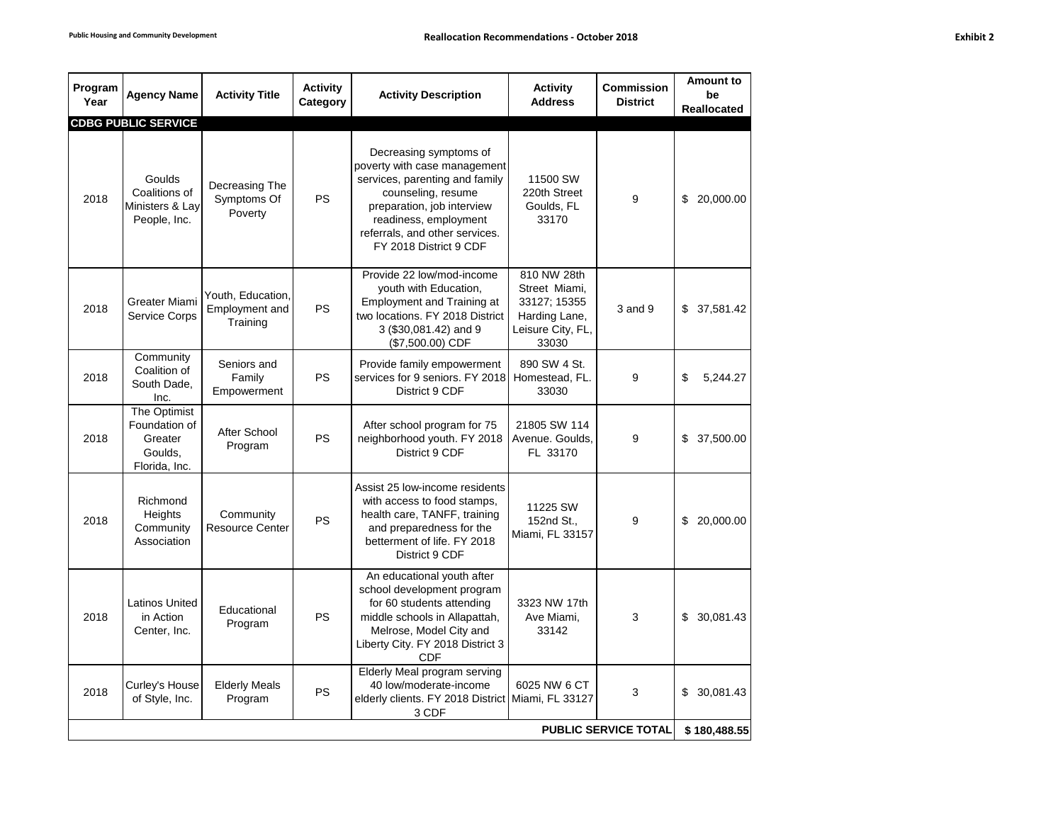| rhi b<br>ונ |  |
|-------------|--|
|-------------|--|

| Program<br>Year             | <b>Agency Name</b>                                                   | <b>Activity Title</b>                           | <b>Activity</b><br>Category | <b>Activity Description</b>                                                                                                                                                                                                       | <b>Activity</b><br><b>Address</b>                                                           | <b>Commission</b><br><b>District</b> | <b>Amount to</b><br>be<br><b>Reallocated</b> |
|-----------------------------|----------------------------------------------------------------------|-------------------------------------------------|-----------------------------|-----------------------------------------------------------------------------------------------------------------------------------------------------------------------------------------------------------------------------------|---------------------------------------------------------------------------------------------|--------------------------------------|----------------------------------------------|
|                             | <b>CDBG PUBLIC SERVICE</b>                                           |                                                 |                             |                                                                                                                                                                                                                                   |                                                                                             |                                      |                                              |
| 2018                        | Goulds<br>Coalitions of<br>Ministers & Lay<br>People, Inc.           | Decreasing The<br>Symptoms Of<br>Poverty        | PS                          | Decreasing symptoms of<br>poverty with case management<br>services, parenting and family<br>counseling, resume<br>preparation, job interview<br>readiness, employment<br>referrals, and other services.<br>FY 2018 District 9 CDF | 11500 SW<br>220th Street<br>Goulds, FL<br>33170                                             | 9                                    | \$ 20,000.00                                 |
| 2018                        | Greater Miami<br>Service Corps                                       | Youth, Education,<br>Employment and<br>Training | PS                          | Provide 22 low/mod-income<br>youth with Education,<br><b>Employment and Training at</b><br>two locations. FY 2018 District<br>3 (\$30,081.42) and 9<br>(\$7,500.00) CDF                                                           | 810 NW 28th<br>Street Miami,<br>33127; 15355<br>Harding Lane,<br>Leisure City, FL,<br>33030 | $3$ and $9$                          | \$37,581.42                                  |
| 2018                        | Community<br>Coalition of<br>South Dade,<br>Inc.                     | Seniors and<br>Family<br>Empowerment            | PS                          | Provide family empowerment<br>services for 9 seniors. FY 2018<br>District 9 CDF                                                                                                                                                   | 890 SW 4 St.<br>Homestead, FL.<br>33030                                                     | 9                                    | \$<br>5,244.27                               |
| 2018                        | The Optimist<br>Foundation of<br>Greater<br>Goulds,<br>Florida, Inc. | After School<br>Program                         | PS                          | After school program for 75<br>neighborhood youth. FY 2018<br>District 9 CDF                                                                                                                                                      | 21805 SW 114<br>Avenue. Goulds,<br>FL 33170                                                 | 9                                    | \$37,500.00                                  |
| 2018                        | Richmond<br>Heights<br>Community<br>Association                      | Community<br><b>Resource Center</b>             | PS                          | Assist 25 low-income residents<br>with access to food stamps,<br>health care, TANFF, training<br>and preparedness for the<br>betterment of life. FY 2018<br>District 9 CDF                                                        | 11225 SW<br>152nd St.,<br>Miami, FL 33157                                                   | 9                                    | 20,000.00<br>\$                              |
| 2018                        | <b>Latinos United</b><br>in Action<br>Center, Inc.                   | Educational<br>Program                          | <b>PS</b>                   | An educational youth after<br>school development program<br>for 60 students attending<br>middle schools in Allapattah,<br>Melrose, Model City and<br>Liberty City. FY 2018 District 3<br><b>CDF</b>                               | 3323 NW 17th<br>Ave Miami,<br>33142                                                         | 3                                    | \$30,081.43                                  |
| 2018                        | Curley's House<br>of Style, Inc.                                     | <b>Elderly Meals</b><br>Program                 | <b>PS</b>                   | Elderly Meal program serving<br>40 low/moderate-income<br>elderly clients. FY 2018 District Miami, FL 33127<br>3 CDF                                                                                                              | 6025 NW 6 CT                                                                                | 3                                    | \$30,081.43                                  |
| <b>PUBLIC SERVICE TOTAL</b> |                                                                      |                                                 |                             |                                                                                                                                                                                                                                   |                                                                                             |                                      | \$180,488.55                                 |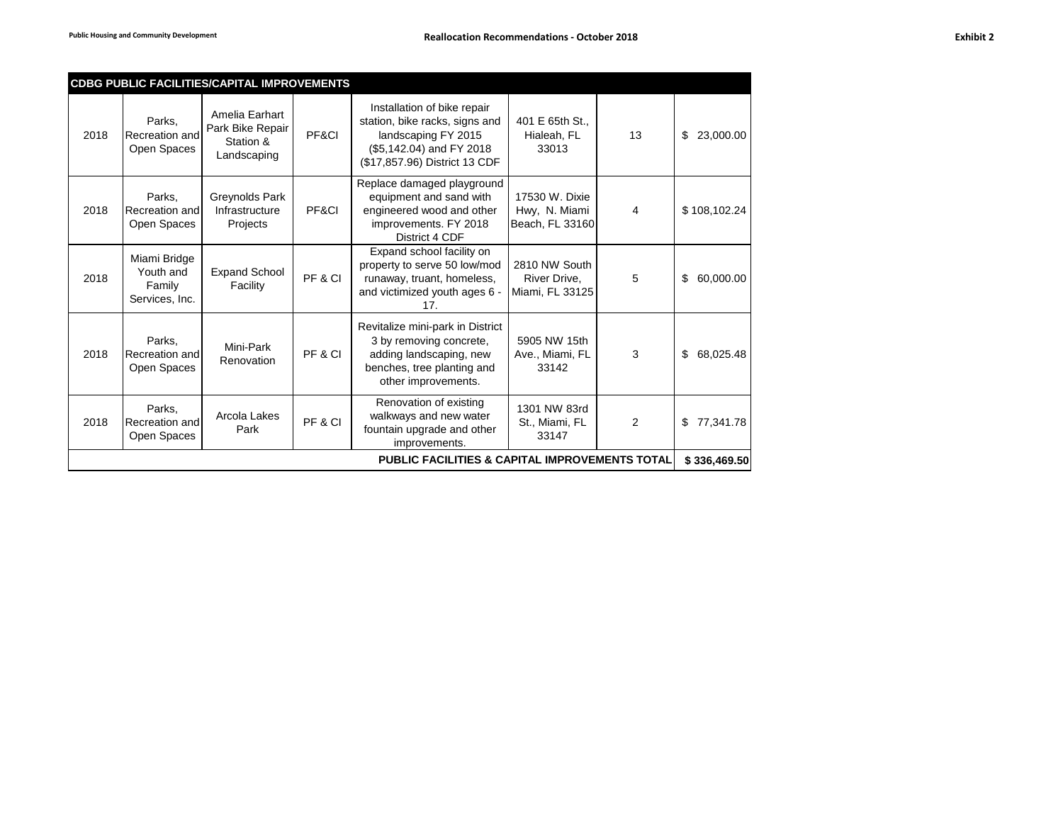|                                                           |                                                       | <b>CDBG PUBLIC FACILITIES/CAPITAL IMPROVEMENTS</b>             |         |                                                                                                                                                   |                                                    |              |                 |
|-----------------------------------------------------------|-------------------------------------------------------|----------------------------------------------------------------|---------|---------------------------------------------------------------------------------------------------------------------------------------------------|----------------------------------------------------|--------------|-----------------|
| 2018                                                      | Parks,<br>Recreation and<br>Open Spaces               | Amelia Earhart<br>Park Bike Repair<br>Station &<br>Landscaping | PF&CI   | Installation of bike repair<br>station, bike racks, signs and<br>landscaping FY 2015<br>(\$5,142.04) and FY 2018<br>(\$17,857.96) District 13 CDF | 401 E 65th St<br>Hialeah, FL<br>33013              | 13           | \$<br>23,000.00 |
| 2018                                                      | Parks.<br>Recreation and<br>Open Spaces               | Greynolds Park<br>Infrastructure<br>Projects                   | PF&CI   | Replace damaged playground<br>equipment and sand with<br>engineered wood and other<br>improvements. FY 2018<br>District 4 CDF                     | 17530 W. Dixie<br>Hwy, N. Miami<br>Beach, FL 33160 | 4            | \$108,102.24    |
| 2018                                                      | Miami Bridge<br>Youth and<br>Family<br>Services, Inc. | <b>Expand School</b><br>Facility                               | PF&CI   | Expand school facility on<br>property to serve 50 low/mod<br>runaway, truant, homeless,<br>and victimized youth ages 6 -<br>17.                   | 2810 NW South<br>River Drive,<br>Miami, FL 33125   | 5            | \$<br>60,000.00 |
| 2018                                                      | Parks.<br>Recreation and<br>Open Spaces               | Mini-Park<br>Renovation                                        | PF & CI | Revitalize mini-park in District<br>3 by removing concrete,<br>adding landscaping, new<br>benches, tree planting and<br>other improvements.       | 5905 NW 15th<br>Ave., Miami, FL<br>33142           | 3            | \$<br>68,025.48 |
| 2018                                                      | Parks,<br>Recreation and<br>Open Spaces               | Arcola Lakes<br>Park                                           | PF&CI   | Renovation of existing<br>walkways and new water<br>fountain upgrade and other<br>improvements.                                                   | 1301 NW 83rd<br>St., Miami, FL<br>33147            | 2            | \$<br>77,341.78 |
| <b>PUBLIC FACILITIES &amp; CAPITAL IMPROVEMENTS TOTAL</b> |                                                       |                                                                |         |                                                                                                                                                   |                                                    | \$336,469.50 |                 |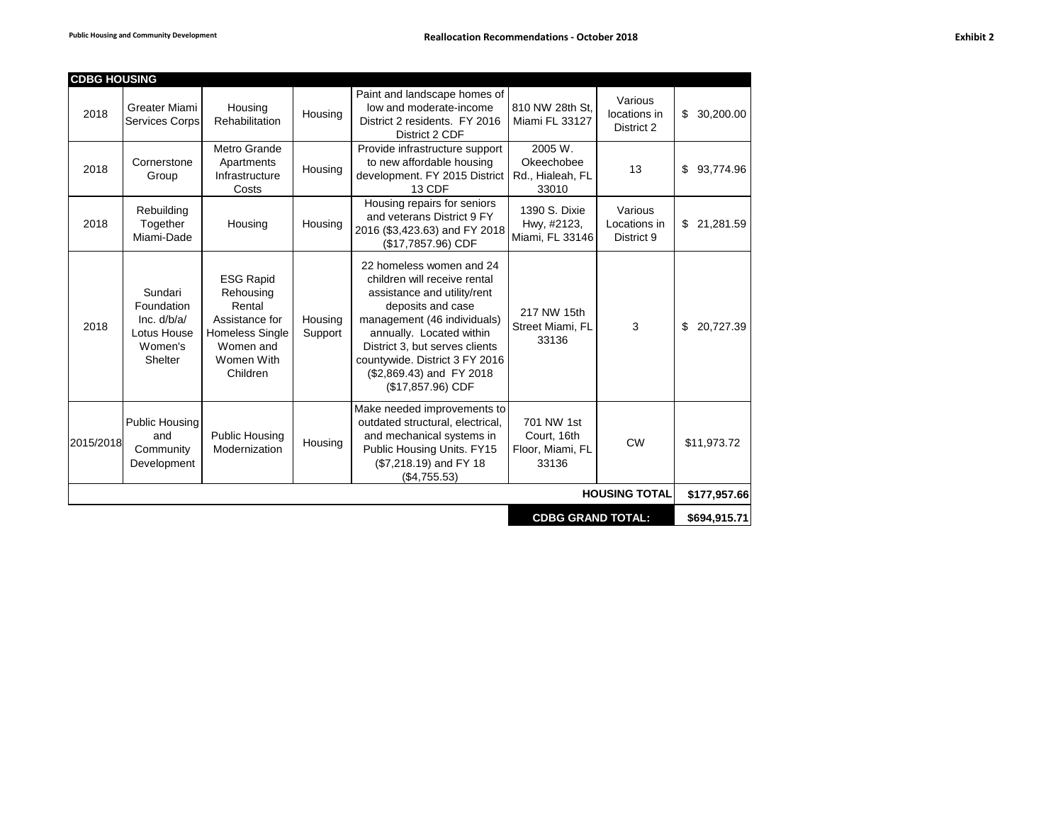| <b>CDBG HOUSING</b> |                                                                             |                                                                                                                            |                    |                                                                                                                                                                                                                                                                                              |                                                        |                                       |                 |
|---------------------|-----------------------------------------------------------------------------|----------------------------------------------------------------------------------------------------------------------------|--------------------|----------------------------------------------------------------------------------------------------------------------------------------------------------------------------------------------------------------------------------------------------------------------------------------------|--------------------------------------------------------|---------------------------------------|-----------------|
| 2018                | Greater Miami<br><b>Services Corps</b>                                      | Housing<br>Rehabilitation                                                                                                  | Housing            | Paint and landscape homes of<br>low and moderate-income<br>District 2 residents. FY 2016<br>District 2 CDF                                                                                                                                                                                   | 810 NW 28th St.<br>Miami FL 33127                      | Various<br>locations in<br>District 2 | \$30,200.00     |
| 2018                | Cornerstone<br>Group                                                        | Metro Grande<br>Apartments<br>Infrastructure<br>Costs                                                                      | Housing            | Provide infrastructure support<br>to new affordable housing<br>development. FY 2015 District<br>13 CDF                                                                                                                                                                                       | 2005 W.<br>Okeechobee<br>Rd., Hialeah, FL<br>33010     | 13                                    | 93,774.96<br>\$ |
| 2018                | Rebuilding<br>Together<br>Miami-Dade                                        | Housing                                                                                                                    | Housing            | Housing repairs for seniors<br>and veterans District 9 FY<br>2016 (\$3,423.63) and FY 2018<br>(\$17,7857.96) CDF                                                                                                                                                                             | 1390 S. Dixie<br>Hwy, #2123,<br>Miami, FL 33146        | Various<br>Locations in<br>District 9 | \$21,281.59     |
| 2018                | Sundari<br>Foundation<br>Inc. $d/b/a/$<br>Lotus House<br>Women's<br>Shelter | <b>ESG Rapid</b><br>Rehousing<br>Rental<br>Assistance for<br><b>Homeless Single</b><br>Women and<br>Women With<br>Children | Housing<br>Support | 22 homeless women and 24<br>children will receive rental<br>assistance and utility/rent<br>deposits and case<br>management (46 individuals)<br>annually. Located within<br>District 3, but serves clients<br>countywide. District 3 FY 2016<br>(\$2,869.43) and FY 2018<br>(\$17,857.96) CDF | 217 NW 15th<br>Street Miami, FL<br>33136               | 3                                     | \$<br>20,727.39 |
| 2015/2018           | Public Housing<br>and<br>Community<br>Development                           | <b>Public Housing</b><br>Modernization                                                                                     | Housing            | Make needed improvements to<br>outdated structural, electrical,<br>and mechanical systems in<br>Public Housing Units. FY15<br>(\$7,218.19) and FY 18<br>(\$4,755.53)                                                                                                                         | 701 NW 1st<br>Court, 16th<br>Floor, Miami, FL<br>33136 | <b>CW</b>                             | \$11,973.72     |
|                     |                                                                             |                                                                                                                            |                    |                                                                                                                                                                                                                                                                                              |                                                        | <b>HOUSING TOTAL</b>                  | \$177,957.66    |
|                     | <b>CDBG GRAND TOTAL:</b><br>\$694,915.71                                    |                                                                                                                            |                    |                                                                                                                                                                                                                                                                                              |                                                        |                                       |                 |